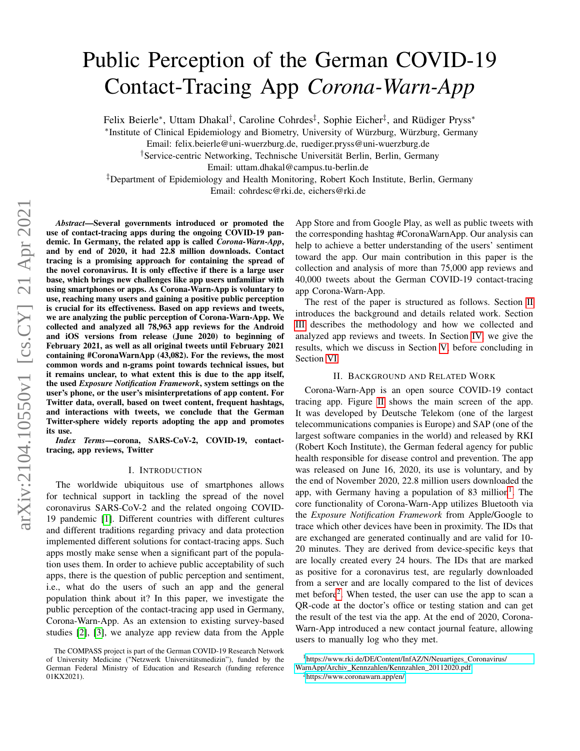# Public Perception of the German COVID-19 Contact-Tracing App *Corona-Warn-App*

Felix Beierle<sup>∗</sup>, Uttam Dhakal<sup>†</sup>, Caroline Cohrdes<sup>‡</sup>, Sophie Eicher<sup>‡</sup>, and Rüdiger Pryss<sup>∗</sup>

∗ Institute of Clinical Epidemiology and Biometry, University of Würzburg, Würzburg, Germany

Email: felix.beierle@uni-wuerzburg.de, ruediger.pryss@uni-wuerzburg.de

†Service-centric Networking, Technische Universität Berlin, Berlin, Germany

Email: uttam.dhakal@campus.tu-berlin.de

‡Department of Epidemiology and Health Monitoring, Robert Koch Institute, Berlin, Germany

Email: cohrdesc@rki.de, eichers@rki.de

*Abstract*—Several governments introduced or promoted the use of contact-tracing apps during the ongoing COVID-19 pandemic. In Germany, the related app is called *Corona-Warn-App*, and by end of 2020, it had 22.8 million downloads. Contact tracing is a promising approach for containing the spread of the novel coronavirus. It is only effective if there is a large user base, which brings new challenges like app users unfamiliar with using smartphones or apps. As Corona-Warn-App is voluntary to use, reaching many users and gaining a positive public perception is crucial for its effectiveness. Based on app reviews and tweets, we are analyzing the public perception of Corona-Warn-App. We collected and analyzed all 78,963 app reviews for the Android and iOS versions from release (June 2020) to beginning of February 2021, as well as all original tweets until February 2021 containing #CoronaWarnApp (43,082). For the reviews, the most common words and n-grams point towards technical issues, but it remains unclear, to what extent this is due to the app itself, the used *Exposure Notification Framework*, system settings on the user's phone, or the user's misinterpretations of app content. For Twitter data, overall, based on tweet content, frequent hashtags, and interactions with tweets, we conclude that the German Twitter-sphere widely reports adopting the app and promotes its use.

*Index Terms*—corona, SARS-CoV-2, COVID-19, contacttracing, app reviews, Twitter

### I. INTRODUCTION

The worldwide ubiquitous use of smartphones allows for technical support in tackling the spread of the novel coronavirus SARS-CoV-2 and the related ongoing COVID-19 pandemic [\[1\]](#page-5-0). Different countries with different cultures and different traditions regarding privacy and data protection implemented different solutions for contact-tracing apps. Such apps mostly make sense when a significant part of the population uses them. In order to achieve public acceptability of such apps, there is the question of public perception and sentiment, i.e., what do the users of such an app and the general population think about it? In this paper, we investigate the public perception of the contact-tracing app used in Germany, Corona-Warn-App. As an extension to existing survey-based studies [\[2\]](#page-5-1), [\[3\]](#page-5-2), we analyze app review data from the Apple App Store and from Google Play, as well as public tweets with the corresponding hashtag #CoronaWarnApp. Our analysis can help to achieve a better understanding of the users' sentiment toward the app. Our main contribution in this paper is the collection and analysis of more than 75,000 app reviews and 40,000 tweets about the German COVID-19 contact-tracing app Corona-Warn-App.

The rest of the paper is structured as follows. Section [II](#page-0-0) introduces the background and details related work. Section [III](#page-1-0) describes the methodology and how we collected and analyzed app reviews and tweets. In Section [IV,](#page-1-1) we give the results, which we discuss in Section [V,](#page-4-0) before concluding in Section [VI.](#page-5-3)

### II. BACKGROUND AND RELATED WORK

<span id="page-0-0"></span>Corona-Warn-App is an open source COVID-19 contact tracing app. Figure [II](#page-0-0) shows the main screen of the app. It was developed by Deutsche Telekom (one of the largest telecommunications companies is Europe) and SAP (one of the largest software companies in the world) and released by RKI (Robert Koch Institute), the German federal agency for public health responsible for disease control and prevention. The app was released on June 16, 2020, its use is voluntary, and by the end of November 2020, 22.8 million users downloaded the app, with Germany having a population of 83 million<sup>[1](#page-0-1)</sup>. The core functionality of Corona-Warn-App utilizes Bluetooth via the *Exposure Notification Framework* from Apple/Google to trace which other devices have been in proximity. The IDs that are exchanged are generated continually and are valid for 10- 20 minutes. They are derived from device-specific keys that are locally created every 24 hours. The IDs that are marked as positive for a coronavirus test, are regularly downloaded from a server and are locally compared to the list of devices met before<sup>[2](#page-0-2)</sup>. When tested, the user can use the app to scan a QR-code at the doctor's office or testing station and can get the result of the test via the app. At the end of 2020, Corona-Warn-App introduced a new contact journal feature, allowing users to manually log who they met.

The COMPASS project is part of the German COVID-19 Research Network of University Medicine ("Netzwerk Universitätsmedizin"), funded by the German Federal Ministry of Education and Research (funding reference 01KX2021).

<span id="page-0-1"></span><sup>1</sup>[https://www.rki.de/DE/Content/InfAZ/N/Neuartiges\\_Coronavirus/](https://www.rki.de/DE/Content/InfAZ/N/Neuartiges_Coronavirus/WarnApp/Archiv_Kennzahlen/Kennzahlen_20112020.pdf) [WarnApp/Archiv\\_Kennzahlen/Kennzahlen\\_20112020.pdf](https://www.rki.de/DE/Content/InfAZ/N/Neuartiges_Coronavirus/WarnApp/Archiv_Kennzahlen/Kennzahlen_20112020.pdf)

<span id="page-0-2"></span><sup>2</sup><https://www.coronawarn.app/en/>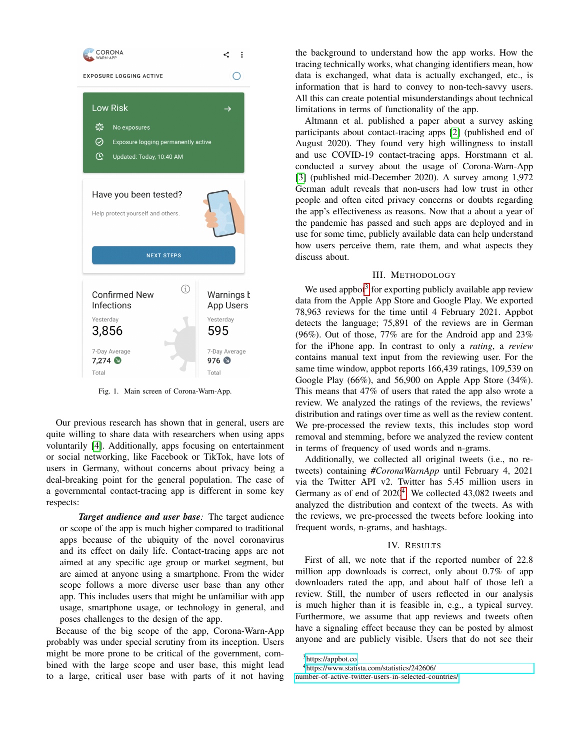

Fig. 1. Main screen of Corona-Warn-App.

Our previous research has shown that in general, users are quite willing to share data with researchers when using apps voluntarily [\[4\]](#page-5-4). Additionally, apps focusing on entertainment or social networking, like Facebook or TikTok, have lots of users in Germany, without concerns about privacy being a deal-breaking point for the general population. The case of a governmental contact-tracing app is different in some key respects:

*Target audience and user base:* The target audience or scope of the app is much higher compared to traditional apps because of the ubiquity of the novel coronavirus and its effect on daily life. Contact-tracing apps are not aimed at any specific age group or market segment, but are aimed at anyone using a smartphone. From the wider scope follows a more diverse user base than any other app. This includes users that might be unfamiliar with app usage, smartphone usage, or technology in general, and poses challenges to the design of the app.

Because of the big scope of the app, Corona-Warn-App probably was under special scrutiny from its inception. Users might be more prone to be critical of the government, combined with the large scope and user base, this might lead to a large, critical user base with parts of it not having the background to understand how the app works. How the tracing technically works, what changing identifiers mean, how data is exchanged, what data is actually exchanged, etc., is information that is hard to convey to non-tech-savvy users. All this can create potential misunderstandings about technical limitations in terms of functionality of the app.

Altmann et al. published a paper about a survey asking participants about contact-tracing apps [\[2\]](#page-5-1) (published end of August 2020). They found very high willingness to install and use COVID-19 contact-tracing apps. Horstmann et al. conducted a survey about the usage of Corona-Warn-App [\[3\]](#page-5-2) (published mid-December 2020). A survey among 1,972 German adult reveals that non-users had low trust in other people and often cited privacy concerns or doubts regarding the app's effectiveness as reasons. Now that a about a year of the pandemic has passed and such apps are deployed and in use for some time, publicly available data can help understand how users perceive them, rate them, and what aspects they discuss about.

### III. METHODOLOGY

<span id="page-1-0"></span>We used appbot<sup>[3](#page-1-2)</sup> for exporting publicly available app review data from the Apple App Store and Google Play. We exported 78,963 reviews for the time until 4 February 2021. Appbot detects the language; 75,891 of the reviews are in German (96%). Out of those, 77% are for the Android app and 23% for the iPhone app. In contrast to only a *rating*, a *review* contains manual text input from the reviewing user. For the same time window, appbot reports 166,439 ratings, 109,539 on Google Play (66%), and 56,900 on Apple App Store (34%). This means that 47% of users that rated the app also wrote a review. We analyzed the ratings of the reviews, the reviews' distribution and ratings over time as well as the review content. We pre-processed the review texts, this includes stop word removal and stemming, before we analyzed the review content in terms of frequency of used words and n-grams.

Additionally, we collected all original tweets (i.e., no retweets) containing *#CoronaWarnApp* until February 4, 2021 via the Twitter API v2. Twitter has 5.45 million users in Germany as of end of 2020<sup>[4](#page-1-3)</sup>. We collected 43,082 tweets and analyzed the distribution and context of the tweets. As with the reviews, we pre-processed the tweets before looking into frequent words, n-grams, and hashtags.

#### IV. RESULTS

<span id="page-1-1"></span>First of all, we note that if the reported number of 22.8 million app downloads is correct, only about 0.7% of app downloaders rated the app, and about half of those left a review. Still, the number of users reflected in our analysis is much higher than it is feasible in, e.g., a typical survey. Furthermore, we assume that app reviews and tweets often have a signaling effect because they can be posted by almost anyone and are publicly visible. Users that do not see their

<span id="page-1-2"></span><sup>3</sup><https://appbot.co>

<span id="page-1-3"></span><sup>4</sup>[https://www.statista.com/statistics/242606/](https://www.statista.com/statistics/242606/number-of-active-twitter-users-in-selected-countries/)

[number-of-active-twitter-users-in-selected-countries/](https://www.statista.com/statistics/242606/number-of-active-twitter-users-in-selected-countries/)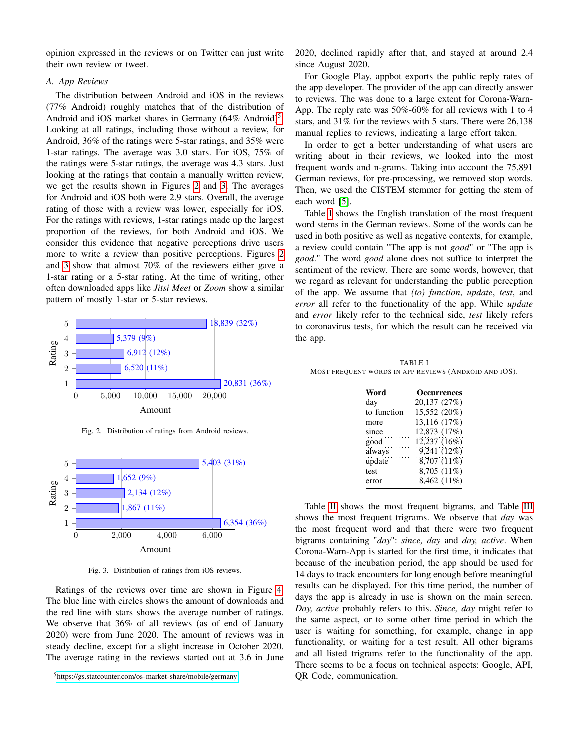opinion expressed in the reviews or on Twitter can just write their own review or tweet.

## *A. App Reviews*

The distribution between Android and iOS in the reviews (77% Android) roughly matches that of the distribution of Android and iOS market shares in Germany (64% Android)<sup>[5](#page-2-0)</sup>. Looking at all ratings, including those without a review, for Android, 36% of the ratings were 5-star ratings, and 35% were 1-star ratings. The average was 3.0 stars. For iOS, 75% of the ratings were 5-star ratings, the average was 4.3 stars. Just looking at the ratings that contain a manually written review, we get the results shown in Figures [2](#page-2-1) and [3.](#page-2-2) The averages for Android and iOS both were 2.9 stars. Overall, the average rating of those with a review was lower, especially for iOS. For the ratings with reviews, 1-star ratings made up the largest proportion of the reviews, for both Android and iOS. We consider this evidence that negative perceptions drive users more to write a review than positive perceptions. Figures [2](#page-2-1) and [3](#page-2-2) show that almost 70% of the reviewers either gave a 1-star rating or a 5-star rating. At the time of writing, other often downloaded apps like *Jitsi Meet* or *Zoom* show a similar pattern of mostly 1-star or 5-star reviews.



<span id="page-2-1"></span>Fig. 2. Distribution of ratings from Android reviews.



<span id="page-2-2"></span>Fig. 3. Distribution of ratings from iOS reviews.

Ratings of the reviews over time are shown in Figure [4.](#page-3-0) The blue line with circles shows the amount of downloads and the red line with stars shows the average number of ratings. We observe that 36% of all reviews (as of end of January 2020) were from June 2020. The amount of reviews was in steady decline, except for a slight increase in October 2020. The average rating in the reviews started out at 3.6 in June

<span id="page-2-0"></span><sup>5</sup><https://gs.statcounter.com/os-market-share/mobile/germany>

2020, declined rapidly after that, and stayed at around 2.4 since August 2020.

For Google Play, appbot exports the public reply rates of the app developer. The provider of the app can directly answer to reviews. The was done to a large extent for Corona-Warn-App. The reply rate was 50%-60% for all reviews with 1 to 4 stars, and 31% for the reviews with 5 stars. There were 26,138 manual replies to reviews, indicating a large effort taken.

In order to get a better understanding of what users are writing about in their reviews, we looked into the most frequent words and n-grams. Taking into account the 75,891 German reviews, for pre-processing, we removed stop words. Then, we used the CISTEM stemmer for getting the stem of each word [\[5\]](#page-5-5).

Table [I](#page-2-3) shows the English translation of the most frequent word stems in the German reviews. Some of the words can be used in both positive as well as negative contexts, for example, a review could contain "The app is not *good*" or "The app is *good*." The word *good* alone does not suffice to interpret the sentiment of the review. There are some words, however, that we regard as relevant for understanding the public perception of the app. We assume that *(to) function*, *update*, *test*, and *error* all refer to the functionality of the app. While *update* and *error* likely refer to the technical side, *test* likely refers to coronavirus tests, for which the result can be received via the app.

<span id="page-2-3"></span>TABLE I MOST FREQUENT WORDS IN APP REVIEWS (ANDROID AND IOS).

| Word        | <b>Occurrences</b> |
|-------------|--------------------|
| day         | 20,137 (27%)       |
| to function | 15,552 (20%)       |
| more        | 13,116 (17%)       |
| since       | 12,873 (17%)       |
| good        | 12,237 (16%)       |
| always      | 9,241 (12%)        |
| update      | 8,707 (11%)        |
| test        | 8,705 (11%)        |
| error       | 8,462 (11%)        |

Table [II](#page-3-1) shows the most frequent bigrams, and Table [III](#page-3-2) shows the most frequent trigrams. We observe that *day* was the most frequent word and that there were two frequent bigrams containing "*day*": *since, day* and *day, active*. When Corona-Warn-App is started for the first time, it indicates that because of the incubation period, the app should be used for 14 days to track encounters for long enough before meaningful results can be displayed. For this time period, the number of days the app is already in use is shown on the main screen. *Day, active* probably refers to this. *Since, day* might refer to the same aspect, or to some other time period in which the user is waiting for something, for example, change in app functionality, or waiting for a test result. All other bigrams and all listed trigrams refer to the functionality of the app. There seems to be a focus on technical aspects: Google, API, QR Code, communication.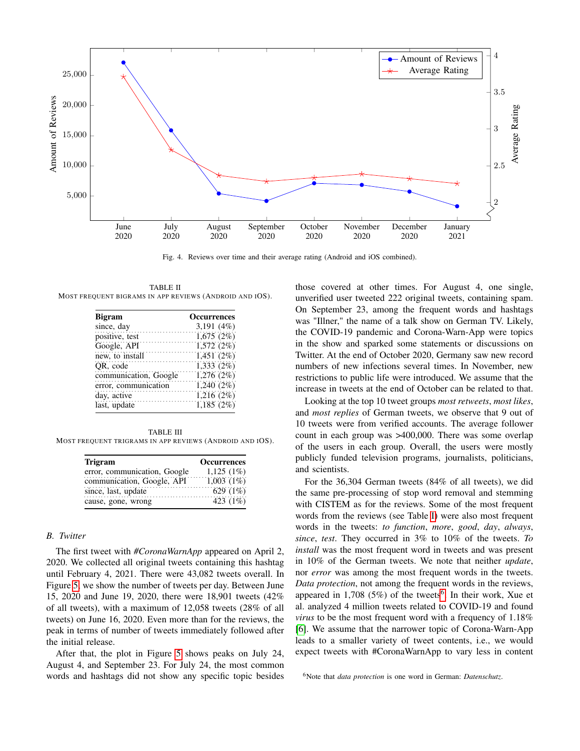

<span id="page-3-0"></span>Fig. 4. Reviews over time and their average rating (Android and iOS combined).

<span id="page-3-1"></span>TABLE II MOST FREQUENT BIGRAMS IN APP REVIEWS (ANDROID AND IOS).

| <b>Bigram</b>         | <b>Occurrences</b> |
|-----------------------|--------------------|
| since, day            | 3,191 $(4%)$       |
| positive, test        | 1,675(2%)          |
| Google, API           | 1,572(2%)          |
| new, to install       | 1,451(2%)          |
| OR, code              | 1,333(2%)          |
| communication, Google | 1,276(2%)          |
| error, communication  | 1,240(2%)          |
| day, active           | 1,216(2%)          |
| last, update          | 1,185(2%)          |

<span id="page-3-2"></span>TABLE III MOST FREQUENT TRIGRAMS IN APP REVIEWS (ANDROID AND IOS).

| <b>Trigram</b>               | <b>Occurrences</b> |
|------------------------------|--------------------|
| error, communication, Google | 1,125(1%)          |
| communication, Google, API   | $1,003(1\%)$       |
| since, last, update          | 629 $(1%)$         |
| cause, gone, wrong           | 423 (1%)           |

## <span id="page-3-4"></span>*B. Twitter*

The first tweet with *#CoronaWarnApp* appeared on April 2, 2020. We collected all original tweets containing this hashtag until February 4, 2021. There were 43,082 tweets overall. In Figure [5,](#page-4-1) we show the number of tweets per day. Between June 15, 2020 and June 19, 2020, there were 18,901 tweets (42% of all tweets), with a maximum of 12,058 tweets (28% of all tweets) on June 16, 2020. Even more than for the reviews, the peak in terms of number of tweets immediately followed after the initial release.

After that, the plot in Figure [5](#page-4-1) shows peaks on July 24, August 4, and September 23. For July 24, the most common words and hashtags did not show any specific topic besides

those covered at other times. For August 4, one single, unverified user tweeted 222 original tweets, containing spam. On September 23, among the frequent words and hashtags was "Illner," the name of a talk show on German TV. Likely, the COVID-19 pandemic and Corona-Warn-App were topics in the show and sparked some statements or discussions on Twitter. At the end of October 2020, Germany saw new record numbers of new infections several times. In November, new restrictions to public life were introduced. We assume that the increase in tweets at the end of October can be related to that.

Looking at the top 10 tweet groups *most retweets*, *most likes*, and *most replies* of German tweets, we observe that 9 out of 10 tweets were from verified accounts. The average follower count in each group was >400,000. There was some overlap of the users in each group. Overall, the users were mostly publicly funded television programs, journalists, politicians, and scientists.

For the 36,304 German tweets (84% of all tweets), we did the same pre-processing of stop word removal and stemming with CISTEM as for the reviews. Some of the most frequent words from the reviews (see Table [I\)](#page-2-3) were also most frequent words in the tweets: *to function*, *more*, *good*, *day*, *always*, *since*, *test*. They occurred in 3% to 10% of the tweets. *To install* was the most frequent word in tweets and was present in 10% of the German tweets. We note that neither *update*, nor *error* was among the most frequent words in the tweets. *Data protection*, not among the frequent words in the reviews, appeared in 1,708 (5%) of the tweets<sup>[6](#page-3-3)</sup>. In their work, Xue et al. analyzed 4 million tweets related to COVID-19 and found *virus* to be the most frequent word with a frequency of 1.18% [\[6\]](#page-5-6). We assume that the narrower topic of Corona-Warn-App leads to a smaller variety of tweet contents, i.e., we would expect tweets with #CoronaWarnApp to vary less in content

<span id="page-3-3"></span><sup>6</sup>Note that *data protection* is one word in German: *Datenschutz*.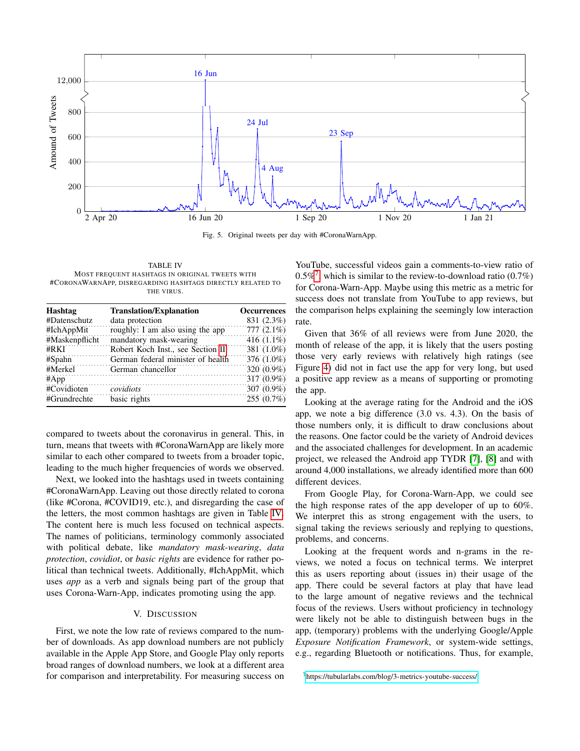

<span id="page-4-1"></span>Fig. 5. Original tweets per day with #CoronaWarnApp.

<span id="page-4-2"></span>TABLE IV MOST FREQUENT HASHTAGS IN ORIGINAL TWEETS WITH #CORONAWARNAPP, DISREGARDING HASHTAGS DIRECTLY RELATED TO THE VIRUS.

| Hashtag        | <b>Translation/Explanation</b>    | <b>Occurrences</b> |
|----------------|-----------------------------------|--------------------|
| #Datenschutz   | data protection                   | 831 (2.3%)         |
| #IchAppMit     | roughly: I am also using the app  | $777(2.1\%)$       |
| #Maskenpflicht | mandatory mask-wearing            | 416 $(1.1\%)$      |
| #RKT           | Robert Koch Inst., see Section II | 381 (1.0%)         |
| $#S$ pahn      | German federal minister of health | 376 (1.0%)         |
| #Merkel        | German chancellor                 | $320(0.9\%)$       |
| #App           |                                   | 317 (0.9%)         |
| #Covidioten    | covidiots                         | 307 (0.9%)         |
| #Grundrechte   | basic rights                      | 255(0.7%)          |

compared to tweets about the coronavirus in general. This, in turn, means that tweets with #CoronaWarnApp are likely more similar to each other compared to tweets from a broader topic, leading to the much higher frequencies of words we observed.

Next, we looked into the hashtags used in tweets containing #CoronaWarnApp. Leaving out those directly related to corona (like #Corona, #COVID19, etc.), and disregarding the case of the letters, the most common hashtags are given in Table [IV.](#page-4-2) The content here is much less focused on technical aspects. The names of politicians, terminology commonly associated with political debate, like *mandatory mask-wearing*, *data protection*, *covidiot*, or *basic rights* are evidence for rather political than technical tweets. Additionally, #IchAppMit, which uses *app* as a verb and signals being part of the group that uses Corona-Warn-App, indicates promoting using the app.

# V. DISCUSSION

<span id="page-4-0"></span>First, we note the low rate of reviews compared to the number of downloads. As app download numbers are not publicly available in the Apple App Store, and Google Play only reports broad ranges of download numbers, we look at a different area for comparison and interpretability. For measuring success on

YouTube, successful videos gain a comments-to-view ratio of 0.5%<sup>[7](#page-4-3)</sup>, which is similar to the review-to-download ratio  $(0.7%)$ for Corona-Warn-App. Maybe using this metric as a metric for success does not translate from YouTube to app reviews, but the comparison helps explaining the seemingly low interaction rate.

Given that 36% of all reviews were from June 2020, the month of release of the app, it is likely that the users posting those very early reviews with relatively high ratings (see Figure [4\)](#page-3-0) did not in fact use the app for very long, but used a positive app review as a means of supporting or promoting the app.

Looking at the average rating for the Android and the iOS app, we note a big difference (3.0 vs. 4.3). On the basis of those numbers only, it is difficult to draw conclusions about the reasons. One factor could be the variety of Android devices and the associated challenges for development. In an academic project, we released the Android app TYDR [\[7\]](#page-5-7), [\[8\]](#page-5-8) and with around 4,000 installations, we already identified more than 600 different devices.

From Google Play, for Corona-Warn-App, we could see the high response rates of the app developer of up to 60%. We interpret this as strong engagement with the users, to signal taking the reviews seriously and replying to questions, problems, and concerns.

Looking at the frequent words and n-grams in the reviews, we noted a focus on technical terms. We interpret this as users reporting about (issues in) their usage of the app. There could be several factors at play that have lead to the large amount of negative reviews and the technical focus of the reviews. Users without proficiency in technology were likely not be able to distinguish between bugs in the app, (temporary) problems with the underlying Google/Apple *Exposure Notification Framework*, or system-wide settings, e.g., regarding Bluetooth or notifications. Thus, for example,

<span id="page-4-3"></span><sup>7</sup><https://tubularlabs.com/blog/3-metrics-youtube-success/>